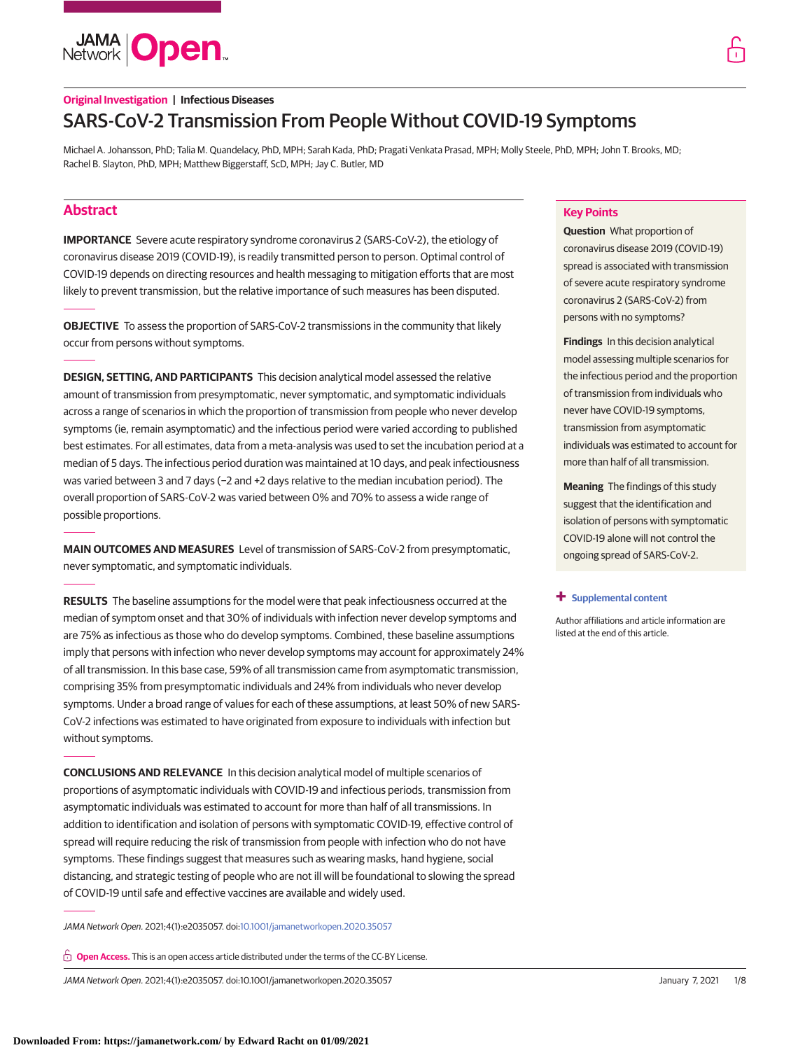**JAMA Open** 

# **Original Investigation | Infectious Diseases** SARS-CoV-2 Transmission From People Without COVID-19 Symptoms

Michael A. Johansson, PhD; Talia M. Quandelacy, PhD, MPH; Sarah Kada, PhD; Pragati Venkata Prasad, MPH; Molly Steele, PhD, MPH; John T. Brooks, MD; Rachel B. Slayton, PhD, MPH; Matthew Biggerstaff, ScD, MPH; Jay C. Butler, MD

# **Abstract**

**IMPORTANCE** Severe acute respiratory syndrome coronavirus 2 (SARS-CoV-2), the etiology of coronavirus disease 2019 (COVID-19), is readily transmitted person to person. Optimal control of COVID-19 depends on directing resources and health messaging to mitigation efforts that are most likely to prevent transmission, but the relative importance of such measures has been disputed.

**OBJECTIVE** To assess the proportion of SARS-CoV-2 transmissions in the community that likely occur from persons without symptoms.

**DESIGN, SETTING, AND PARTICIPANTS** This decision analytical model assessed the relative amount of transmission from presymptomatic, never symptomatic, and symptomatic individuals across a range of scenarios in which the proportion of transmission from people who never develop symptoms (ie, remain asymptomatic) and the infectious period were varied according to published best estimates. For all estimates, data from a meta-analysis was used to set the incubation period at a median of 5 days. The infectious period duration was maintained at 10 days, and peak infectiousness was varied between 3 and 7 days (−2 and +2 days relative to the median incubation period). The overall proportion of SARS-CoV-2 was varied between 0% and 70% to assess a wide range of possible proportions.

**MAIN OUTCOMES AND MEASURES** Level of transmission of SARS-CoV-2 from presymptomatic, never symptomatic, and symptomatic individuals.

**RESULTS** The baseline assumptions for the model were that peak infectiousness occurred at the median of symptom onset and that 30% of individuals with infection never develop symptoms and are 75% as infectious as those who do develop symptoms. Combined, these baseline assumptions imply that persons with infection who never develop symptoms may account for approximately 24% of all transmission. In this base case, 59% of all transmission came from asymptomatic transmission, comprising 35% from presymptomatic individuals and 24% from individuals who never develop symptoms. Under a broad range of values for each of these assumptions, at least 50% of new SARS-CoV-2 infections was estimated to have originated from exposure to individuals with infection but without symptoms.

**CONCLUSIONS AND RELEVANCE** In this decision analytical model of multiple scenarios of proportions of asymptomatic individuals with COVID-19 and infectious periods, transmission from asymptomatic individuals was estimated to account for more than half of all transmissions. In addition to identification and isolation of persons with symptomatic COVID-19, effective control of spread will require reducing the risk of transmission from people with infection who do not have symptoms. These findings suggest that measures such as wearing masks, hand hygiene, social distancing, and strategic testing of people who are not ill will be foundational to slowing the spread of COVID-19 until safe and effective vaccines are available and widely used.

JAMA Network Open. 2021;4(1):e2035057. doi[:10.1001/jamanetworkopen.2020.35057](https://jama.jamanetwork.com/article.aspx?doi=10.1001/jamanetworkopen.2020.35057&utm_campaign=articlePDF%26utm_medium=articlePDFlink%26utm_source=articlePDF%26utm_content=jamanetworkopen.2020.35057)

**Open Access.** This is an open access article distributed under the terms of the CC-BY License.

JAMA Network Open. 2021;4(1):e2035057. doi:10.1001/jamanetworkopen.2020.35057 (Reprinted) January 7, 2021 1/8

# **Key Points**

**Question** What proportion of coronavirus disease 2019 (COVID-19) spread is associated with transmission of severe acute respiratory syndrome coronavirus 2 (SARS-CoV-2) from persons with no symptoms?

**Findings** In this decision analytical model assessing multiple scenarios for the infectious period and the proportion of transmission from individuals who never have COVID-19 symptoms, transmission from asymptomatic individuals was estimated to account for more than half of all transmission.

**Meaning** The findings of this study suggest that the identification and isolation of persons with symptomatic COVID-19 alone will not control the ongoing spread of SARS-CoV-2.

### **+ [Supplemental content](https://jama.jamanetwork.com/article.aspx?doi=10.1001/jamanetworkopen.2020.35057&utm_campaign=articlePDF%26utm_medium=articlePDFlink%26utm_source=articlePDF%26utm_content=jamanetworkopen.2020.35057)**

Author affiliations and article information are listed at the end of this article.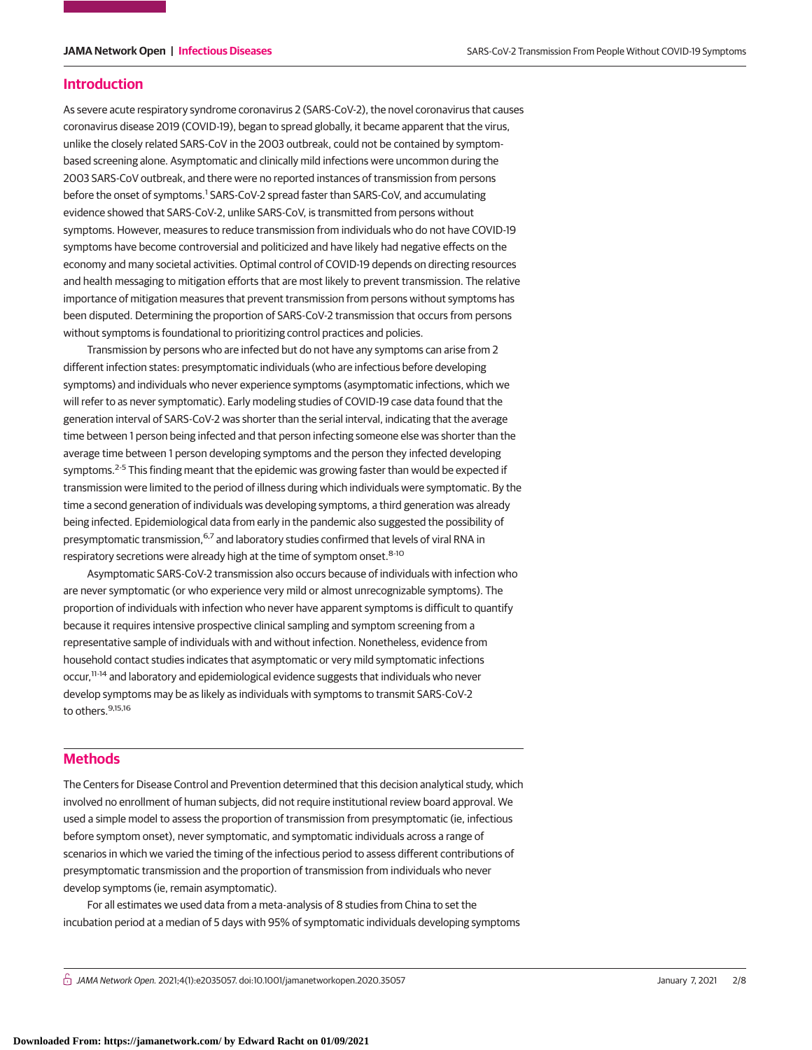# **Introduction**

As severe acute respiratory syndrome coronavirus 2 (SARS-CoV-2), the novel coronavirus that causes coronavirus disease 2019 (COVID-19), began to spread globally, it became apparent that the virus, unlike the closely related SARS-CoV in the 2003 outbreak, could not be contained by symptombased screening alone. Asymptomatic and clinically mild infections were uncommon during the 2003 SARS-CoV outbreak, and there were no reported instances of transmission from persons before the onset of symptoms.<sup>1</sup> SARS-CoV-2 spread faster than SARS-CoV, and accumulating evidence showed that SARS-CoV-2, unlike SARS-CoV, is transmitted from persons without symptoms. However, measures to reduce transmission from individuals who do not have COVID-19 symptoms have become controversial and politicized and have likely had negative effects on the economy and many societal activities. Optimal control of COVID-19 depends on directing resources and health messaging to mitigation efforts that are most likely to prevent transmission. The relative importance of mitigation measures that prevent transmission from persons without symptoms has been disputed. Determining the proportion of SARS-CoV-2 transmission that occurs from persons without symptoms is foundational to prioritizing control practices and policies.

Transmission by persons who are infected but do not have any symptoms can arise from 2 different infection states: presymptomatic individuals (who are infectious before developing symptoms) and individuals who never experience symptoms (asymptomatic infections, which we will refer to as never symptomatic). Early modeling studies of COVID-19 case data found that the generation interval of SARS-CoV-2 was shorter than the serial interval, indicating that the average time between 1 person being infected and that person infecting someone else was shorter than the average time between 1 person developing symptoms and the person they infected developing symptoms. $2-5$  This finding meant that the epidemic was growing faster than would be expected if transmission were limited to the period of illness during which individuals were symptomatic. By the time a second generation of individuals was developing symptoms, a third generation was already being infected. Epidemiological data from early in the pandemic also suggested the possibility of presymptomatic transmission, <sup>6,7</sup> and laboratory studies confirmed that levels of viral RNA in respiratory secretions were already high at the time of symptom onset.<sup>8-10</sup>

Asymptomatic SARS-CoV-2 transmission also occurs because of individuals with infection who are never symptomatic (or who experience very mild or almost unrecognizable symptoms). The proportion of individuals with infection who never have apparent symptoms is difficult to quantify because it requires intensive prospective clinical sampling and symptom screening from a representative sample of individuals with and without infection. Nonetheless, evidence from household contact studies indicates that asymptomatic or very mild symptomatic infections occur,11-14 and laboratory and epidemiological evidence suggests that individuals who never develop symptoms may be as likely as individuals with symptoms to transmit SARS-CoV-2 to others. 9,15,16

# **Methods**

The Centers for Disease Control and Prevention determined that this decision analytical study, which involved no enrollment of human subjects, did not require institutional review board approval. We used a simple model to assess the proportion of transmission from presymptomatic (ie, infectious before symptom onset), never symptomatic, and symptomatic individuals across a range of scenarios in which we varied the timing of the infectious period to assess different contributions of presymptomatic transmission and the proportion of transmission from individuals who never develop symptoms (ie, remain asymptomatic).

For all estimates we used data from a meta-analysis of 8 studies from China to set the incubation period at a median of 5 days with 95% of symptomatic individuals developing symptoms

 $\bigcap$  JAMA Network Open. 2021;4(1):e2035057. doi:10.1001/jamanetworkopen.2020.35057 (Superinted) January 7, 2021 2/8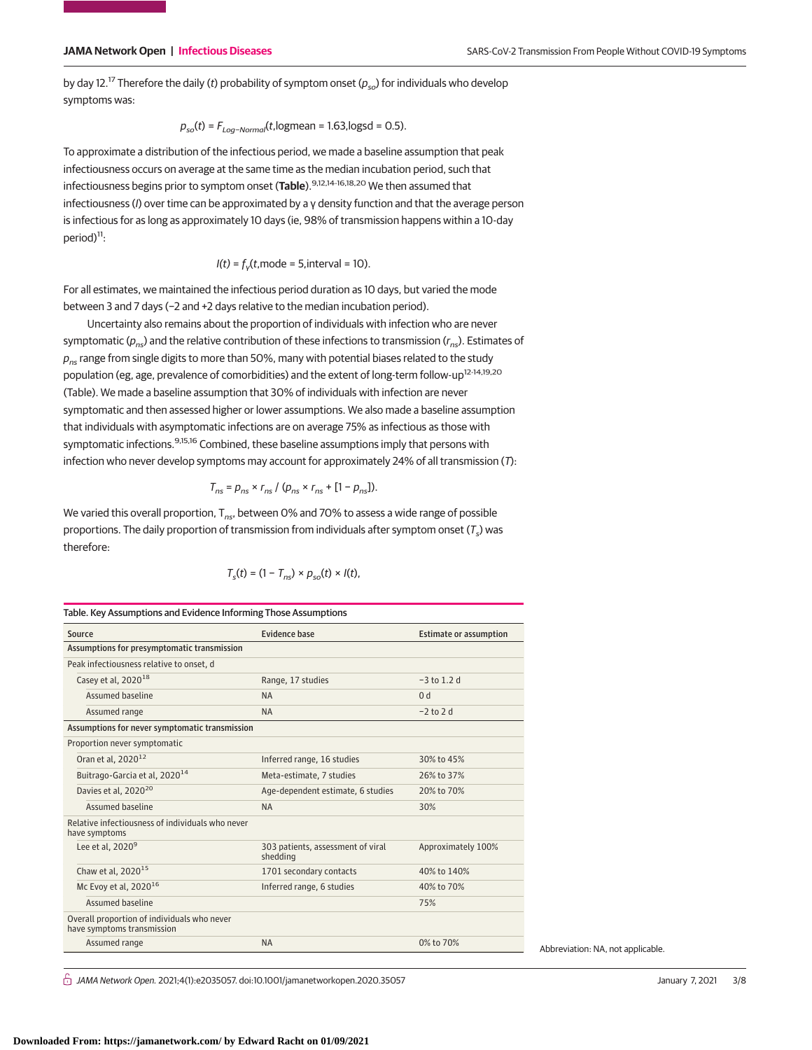by day 12.<sup>17</sup> Therefore the daily (t) probability of symptom onset ( $p_{so}$ ) for individuals who develop symptoms was:

$$
p_{so}(t) = F_{Log-Normal}(t, logmean = 1.63, logsd = 0.5).
$$

To approximate a distribution of the infectious period, we made a baseline assumption that peak infectiousness occurs on average at the same time as the median incubation period, such that infectiousness begins prior to symptom onset (**Table**).9,12,14-16,18,20 We then assumed that infectiousness (I) over time can be approximated by a γ density function and that the average person is infectious for as long as approximately 10 days (ie, 98% of transmission happens within a 10-day period)<sup>11</sup>:

$$
I(t) = fy(t, mode = 5, interval = 10).
$$

For all estimates, we maintained the infectious period duration as 10 days, but varied the mode between 3 and 7 days (−2 and +2 days relative to the median incubation period).

Uncertainty also remains about the proportion of individuals with infection who are never symptomatic ( $p_{ns}$ ) and the relative contribution of these infections to transmission ( $r_{ns}$ ). Estimates of  $p_{ns}$  range from single digits to more than 50%, many with potential biases related to the study population (eg, age, prevalence of comorbidities) and the extent of long-term follow-up<sup>12-14,19,20</sup> (Table). We made a baseline assumption that 30% of individuals with infection are never symptomatic and then assessed higher or lower assumptions. We also made a baseline assumption that individuals with asymptomatic infections are on average 75% as infectious as those with symptomatic infections.<sup>9,15,16</sup> Combined, these baseline assumptions imply that persons with infection who never develop symptoms may account for approximately 24% of all transmission (T):

$$
T_{ns} = p_{ns} \times r_{ns} / (p_{ns} \times r_{ns} + [1 - p_{ns}]).
$$

We varied this overall proportion,  $T_{ns}$ , between 0% and 70% to assess a wide range of possible proportions. The daily proportion of transmission from individuals after symptom onset  $(\mathcal{T}_{s})$  was therefore:

$$
T_s(t) = (1 - T_{ns}) \times p_{so}(t) \times l(t),
$$

| Table. Key Assumptions and Evidence Informing Those Assumptions           |                                               |                               |
|---------------------------------------------------------------------------|-----------------------------------------------|-------------------------------|
| Source                                                                    | <b>Fvidence hase</b>                          | <b>Estimate or assumption</b> |
| Assumptions for presymptomatic transmission                               |                                               |                               |
| Peak infectiousness relative to onset, d                                  |                                               |                               |
| Casey et al, 2020 <sup>18</sup>                                           | Range, 17 studies                             | $-3$ to 1.2 d                 |
| Assumed baseline                                                          | <b>NA</b>                                     | 0 <sub>d</sub>                |
| Assumed range                                                             | <b>NA</b>                                     | $-2$ to 2 d                   |
| Assumptions for never symptomatic transmission                            |                                               |                               |
| Proportion never symptomatic                                              |                                               |                               |
| Oran et al, 2020 <sup>12</sup>                                            | Inferred range, 16 studies                    | 30% to 45%                    |
| Buitrago-Garcia et al, 2020 <sup>14</sup>                                 | Meta-estimate, 7 studies                      | 26% to 37%                    |
| Davies et al, 2020 <sup>20</sup>                                          | Age-dependent estimate, 6 studies             | 20% to 70%                    |
| Assumed baseline                                                          | <b>NA</b>                                     | 30%                           |
| Relative infectiousness of individuals who never<br>have symptoms         |                                               |                               |
| Lee et al. $20209$                                                        | 303 patients, assessment of viral<br>shedding | Approximately 100%            |
| Chaw et al, 2020 <sup>15</sup>                                            | 1701 secondary contacts                       | 40% to 140%                   |
| Mc Evoy et al, $2020^{16}$                                                | Inferred range, 6 studies                     | 40% to 70%                    |
| Assumed baseline                                                          |                                               | 75%                           |
| Overall proportion of individuals who never<br>have symptoms transmission |                                               |                               |
| Assumed range                                                             | <b>NA</b>                                     | 0% to 70%                     |

Abbreviation: NA, not applicable.

 $\bigcap$  JAMA Network Open. 2021;4(1):e2035057. doi:10.1001/jamanetworkopen.2020.35057 (Superinted) January 7, 2021 3/8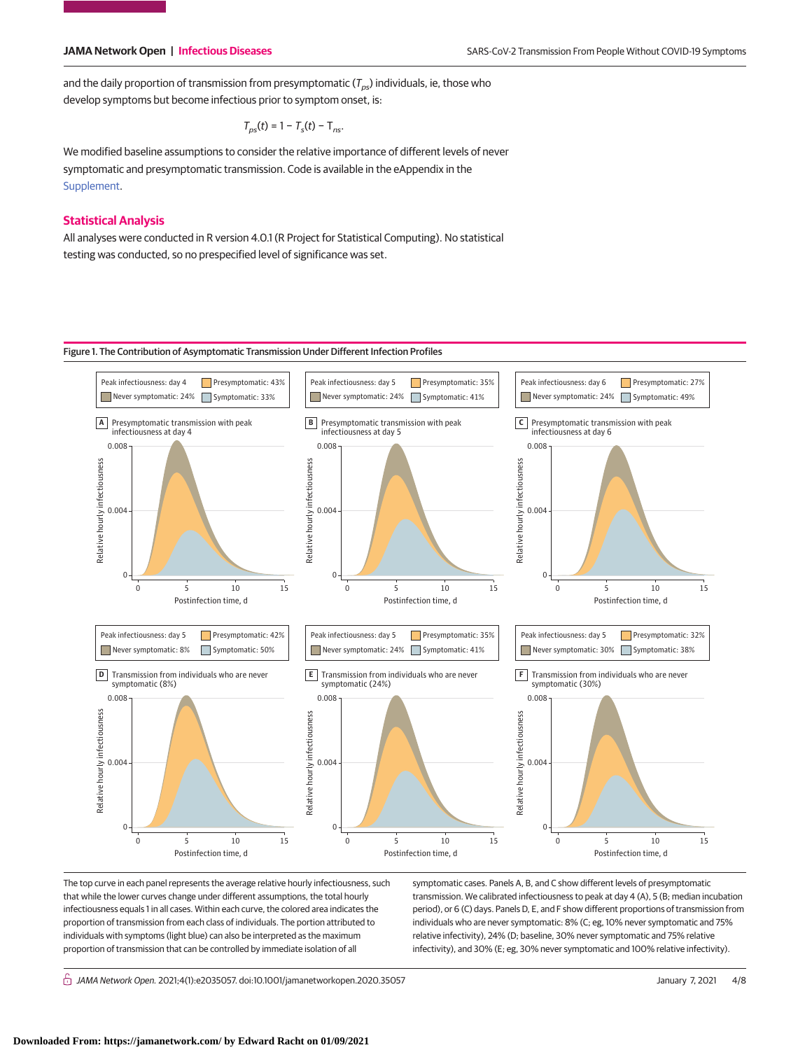and the daily proportion of transmission from presymptomatic ( $T_{pS}$ ) individuals, ie, those who develop symptoms but become infectious prior to symptom onset, is:

$$
T_{ps}(t) = 1 - T_s(t) - T_{ns}
$$
.

We modified baseline assumptions to consider the relative importance of different levels of never symptomatic and presymptomatic transmission. Code is available in the eAppendix in the [Supplement.](https://jama.jamanetwork.com/article.aspx?doi=10.1001/jamanetworkopen.2020.35057&utm_campaign=articlePDF%26utm_medium=articlePDFlink%26utm_source=articlePDF%26utm_content=jamanetworkopen.2020.35057)

# **Statistical Analysis**

All analyses were conducted in R version 4.0.1 (R Project for Statistical Computing). No statistical testing was conducted, so no prespecified level of significance was set.

# Figure 1. The Contribution of Asymptomatic Transmission Under Different Infection Profiles



The top curve in each panel represents the average relative hourly infectiousness, such that while the lower curves change under different assumptions, the total hourly infectiousness equals 1 in all cases. Within each curve, the colored area indicates the proportion of transmission from each class of individuals. The portion attributed to individuals with symptoms (light blue) can also be interpreted as the maximum proportion of transmission that can be controlled by immediate isolation of all

symptomatic cases. Panels A, B, and C show different levels of presymptomatic transmission. We calibrated infectiousness to peak at day 4 (A), 5 (B; median incubation period), or 6 (C) days. Panels D, E, and F show different proportions of transmission from individuals who are never symptomatic: 8% (C; eg, 10% never symptomatic and 75% relative infectivity), 24% (D; baseline, 30% never symptomatic and 75% relative infectivity), and 30% (E; eg, 30% never symptomatic and 100% relative infectivity).

 $\bigcap$  JAMA Network Open. 2021;4(1):e2035057. doi:10.1001/jamanetworkopen.2020.35057 (Superinted) January 7, 2021 4/8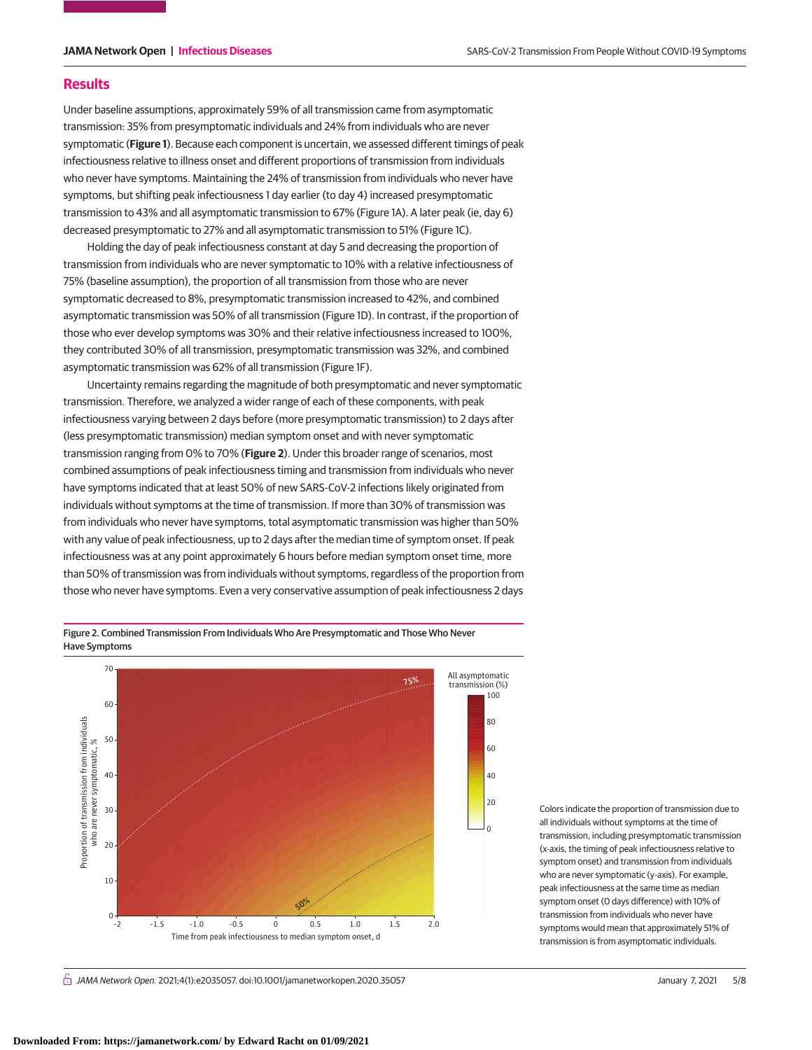# **Results**

Under baseline assumptions, approximately 59% of all transmission came from asymptomatic transmission: 35% from presymptomatic individuals and 24% from individuals who are never symptomatic (**Figure 1**). Because each component is uncertain, we assessed different timings of peak infectiousness relative to illness onset and different proportions of transmission from individuals who never have symptoms. Maintaining the 24% of transmission from individuals who never have symptoms, but shifting peak infectiousness 1 day earlier (to day 4) increased presymptomatic transmission to 43% and all asymptomatic transmission to 67% (Figure 1A). A later peak (ie, day 6) decreased presymptomatic to 27% and all asymptomatic transmission to 51% (Figure 1C).

Holding the day of peak infectiousness constant at day 5 and decreasing the proportion of transmission from individuals who are never symptomatic to 10% with a relative infectiousness of 75% (baseline assumption), the proportion of all transmission from those who are never symptomatic decreased to 8%, presymptomatic transmission increased to 42%, and combined asymptomatic transmission was 50% of all transmission (Figure 1D). In contrast, if the proportion of those who ever develop symptoms was 30% and their relative infectiousness increased to 100%, they contributed 30% of all transmission, presymptomatic transmission was 32%, and combined asymptomatic transmission was 62% of all transmission (Figure 1F).

Uncertainty remains regarding the magnitude of both presymptomatic and never symptomatic transmission. Therefore, we analyzed a wider range of each of these components, with peak infectiousness varying between 2 days before (more presymptomatic transmission) to 2 days after (less presymptomatic transmission) median symptom onset and with never symptomatic transmission ranging from 0% to 70% (**Figure 2**). Under this broader range of scenarios, most combined assumptions of peak infectiousness timing and transmission from individuals who never have symptoms indicated that at least 50% of new SARS-CoV-2 infections likely originated from individuals without symptoms at the time of transmission. If more than 30% of transmission was from individuals who never have symptoms, total asymptomatic transmission was higher than 50% with any value of peak infectiousness, up to 2 days after the median time of symptom onset. If peak infectiousness was at any point approximately 6 hours before median symptom onset time, more than 50% of transmission was from individuals without symptoms, regardless of the proportion from those who never have symptoms. Even a very conservative assumption of peak infectiousness 2 days

Figure 2. Combined Transmission From Individuals Who Are Presymptomatic and Those Who Never Have Symptoms



Colors indicate the proportion of transmission due to all individuals without symptoms at the time of transmission, including presymptomatic transmission (x-axis, the timing of peak infectiousness relative to symptom onset) and transmission from individuals who are never symptomatic (y-axis). For example, peak infectiousness at the same time as median symptom onset (0 days difference) with 10% of transmission from individuals who never have symptoms would mean that approximately 51% of transmission is from asymptomatic individuals.

 $\stackrel{\frown}{\cap}$  JAMA Network Open. 2021;4(1):e2035057. doi:10.1001/jamanetworkopen.2020.35057 (Reprinted) January 7, 2021 5/8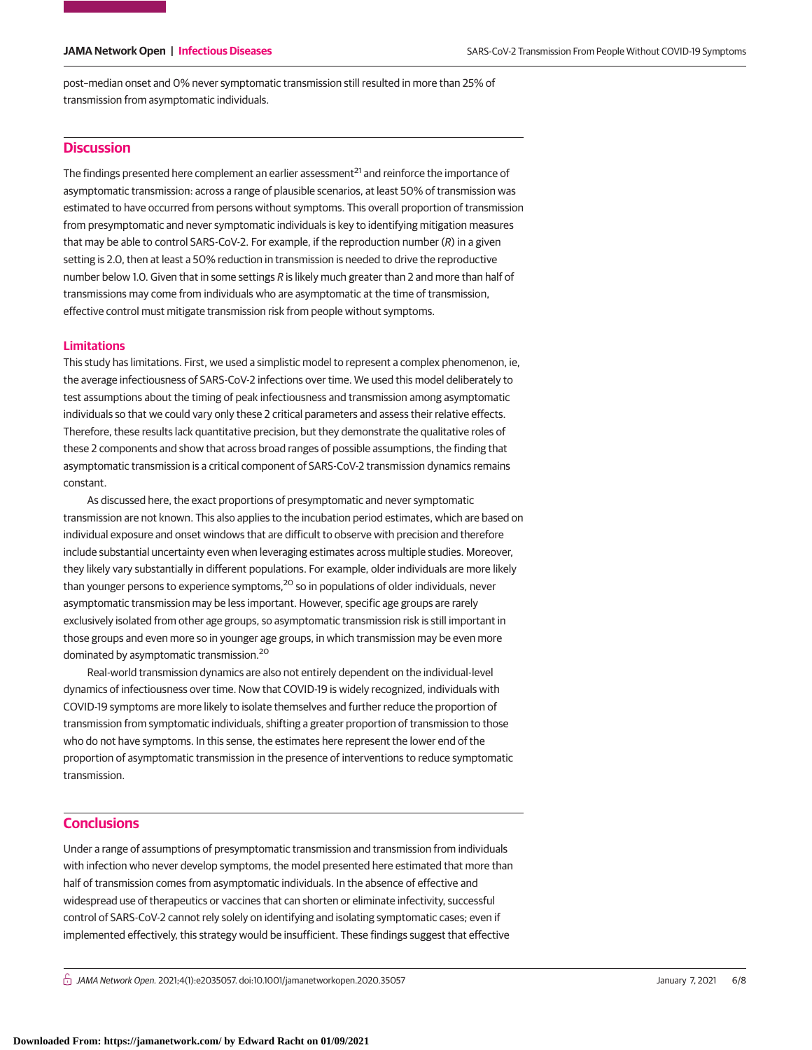post–median onset and 0% never symptomatic transmission still resulted in more than 25% of transmission from asymptomatic individuals.

# **Discussion**

The findings presented here complement an earlier assessment<sup>21</sup> and reinforce the importance of asymptomatic transmission: across a range of plausible scenarios, at least 50% of transmission was estimated to have occurred from persons without symptoms. This overall proportion of transmission from presymptomatic and never symptomatic individuals is key to identifying mitigation measures that may be able to control SARS-CoV-2. For example, if the reproduction number  $(R)$  in a given setting is 2.0, then at least a 50% reduction in transmission is needed to drive the reproductive number below 1.0. Given that in some settings R is likely much greater than 2 and more than half of transmissions may come from individuals who are asymptomatic at the time of transmission, effective control must mitigate transmission risk from people without symptoms.

### **Limitations**

This study has limitations. First, we used a simplistic model to represent a complex phenomenon, ie, the average infectiousness of SARS-CoV-2 infections over time. We used this model deliberately to test assumptions about the timing of peak infectiousness and transmission among asymptomatic individuals so that we could vary only these 2 critical parameters and assess their relative effects. Therefore, these results lack quantitative precision, but they demonstrate the qualitative roles of these 2 components and show that across broad ranges of possible assumptions, the finding that asymptomatic transmission is a critical component of SARS-CoV-2 transmission dynamics remains constant.

As discussed here, the exact proportions of presymptomatic and never symptomatic transmission are not known. This also applies to the incubation period estimates, which are based on individual exposure and onset windows that are difficult to observe with precision and therefore include substantial uncertainty even when leveraging estimates across multiple studies. Moreover, they likely vary substantially in different populations. For example, older individuals are more likely than younger persons to experience symptoms,<sup>20</sup> so in populations of older individuals, never asymptomatic transmission may be less important. However, specific age groups are rarely exclusively isolated from other age groups, so asymptomatic transmission risk is still important in those groups and even more so in younger age groups, in which transmission may be even more dominated by asymptomatic transmission.<sup>20</sup>

Real-world transmission dynamics are also not entirely dependent on the individual-level dynamics of infectiousness over time. Now that COVID-19 is widely recognized, individuals with COVID-19 symptoms are more likely to isolate themselves and further reduce the proportion of transmission from symptomatic individuals, shifting a greater proportion of transmission to those who do not have symptoms. In this sense, the estimates here represent the lower end of the proportion of asymptomatic transmission in the presence of interventions to reduce symptomatic transmission.

# **Conclusions**

Under a range of assumptions of presymptomatic transmission and transmission from individuals with infection who never develop symptoms, the model presented here estimated that more than half of transmission comes from asymptomatic individuals. In the absence of effective and widespread use of therapeutics or vaccines that can shorten or eliminate infectivity, successful control of SARS-CoV-2 cannot rely solely on identifying and isolating symptomatic cases; even if implemented effectively, this strategy would be insufficient. These findings suggest that effective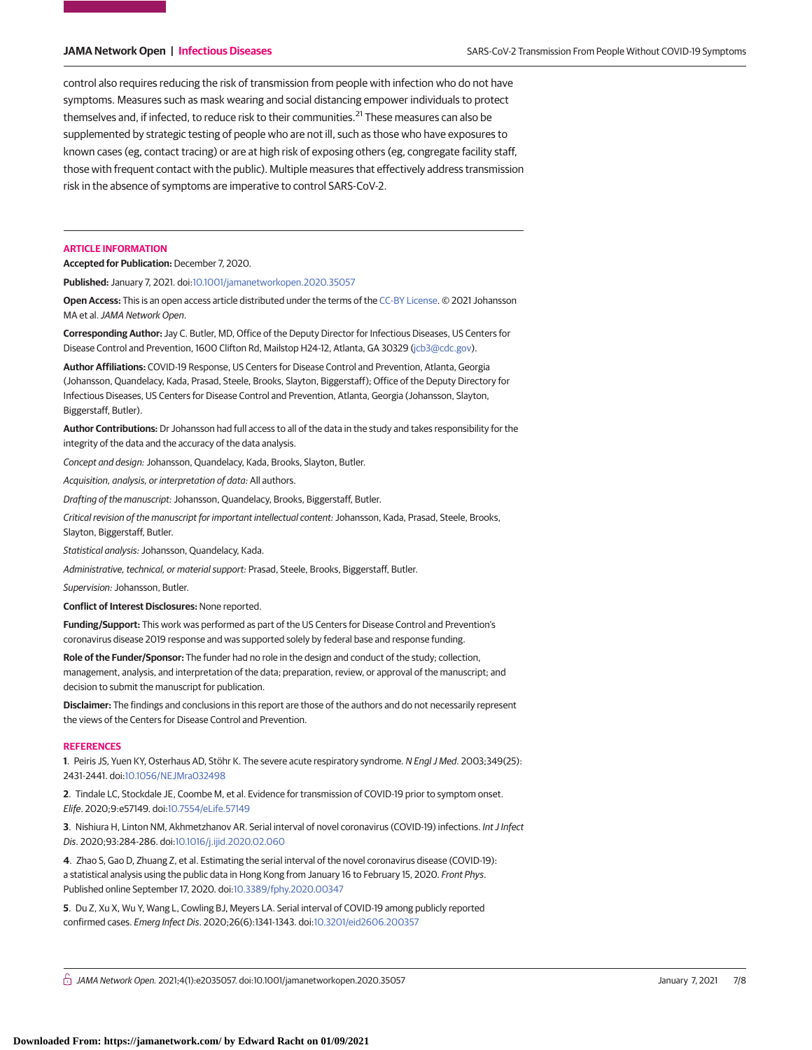control also requires reducing the risk of transmission from people with infection who do not have symptoms. Measures such as mask wearing and social distancing empower individuals to protect themselves and, if infected, to reduce risk to their communities.<sup>21</sup> These measures can also be supplemented by strategic testing of people who are not ill, such as those who have exposures to known cases (eg, contact tracing) or are at high risk of exposing others (eg, congregate facility staff, those with frequent contact with the public). Multiple measures that effectively address transmission risk in the absence of symptoms are imperative to control SARS-CoV-2.

### **ARTICLE INFORMATION**

**Accepted for Publication:** December 7, 2020.

**Published:** January 7, 2021. doi[:10.1001/jamanetworkopen.2020.35057](https://jama.jamanetwork.com/article.aspx?doi=10.1001/jamanetworkopen.2020.35057&utm_campaign=articlePDF%26utm_medium=articlePDFlink%26utm_source=articlePDF%26utm_content=jamanetworkopen.2020.35057)

**Open Access:** This is an open access article distributed under the terms of the [CC-BY License.](https://jamanetwork.com/pages/cc-by-license-permissions/?utm_campaign=articlePDF%26utm_medium=articlePDFlink%26utm_source=articlePDF%26utm_content=jamanetworkopen.2020.35057) © 2021 Johansson MA et al.JAMA Network Open.

**Corresponding Author:** Jay C. Butler, MD, Office of the Deputy Director for Infectious Diseases, US Centers for Disease Control and Prevention, 1600 Clifton Rd, Mailstop H24-12, Atlanta, GA 30329 [\(jcb3@cdc.gov\)](mailto:jcb3@cdc.gov).

**Author Affiliations:** COVID-19 Response, US Centers for Disease Control and Prevention, Atlanta, Georgia (Johansson, Quandelacy, Kada, Prasad, Steele, Brooks, Slayton, Biggerstaff); Office of the Deputy Directory for Infectious Diseases, US Centers for Disease Control and Prevention, Atlanta, Georgia (Johansson, Slayton, Biggerstaff, Butler).

**Author Contributions:** Dr Johansson had full access to all of the data in the study and takes responsibility for the integrity of the data and the accuracy of the data analysis.

Concept and design: Johansson, Quandelacy, Kada, Brooks, Slayton, Butler.

Acquisition, analysis, or interpretation of data: All authors.

Drafting of the manuscript: Johansson, Quandelacy, Brooks, Biggerstaff, Butler.

Critical revision of the manuscript for important intellectual content: Johansson, Kada, Prasad, Steele, Brooks, Slayton, Biggerstaff, Butler.

Statistical analysis: Johansson, Quandelacy, Kada.

Administrative, technical, or material support: Prasad, Steele, Brooks, Biggerstaff, Butler.

Supervision: Johansson, Butler.

**Conflict of Interest Disclosures:** None reported.

**Funding/Support:** This work was performed as part of the US Centers for Disease Control and Prevention's coronavirus disease 2019 response and was supported solely by federal base and response funding.

**Role of the Funder/Sponsor:** The funder had no role in the design and conduct of the study; collection, management, analysis, and interpretation of the data; preparation, review, or approval of the manuscript; and decision to submit the manuscript for publication.

**Disclaimer:** The findings and conclusions in this report are those of the authors and do not necessarily represent the views of the Centers for Disease Control and Prevention.

### **REFERENCES**

**1**. Peiris JS, Yuen KY, Osterhaus AD, Stöhr K. The severe acute respiratory syndrome. N Engl J Med. 2003;349(25): 2431-2441. doi[:10.1056/NEJMra032498](https://dx.doi.org/10.1056/NEJMra032498)

**2**. Tindale LC, Stockdale JE, Coombe M, et al. Evidence for transmission of COVID-19 prior to symptom onset. Elife. 2020;9:e57149. doi[:10.7554/eLife.57149](https://dx.doi.org/10.7554/eLife.57149)

**3**. Nishiura H, Linton NM, Akhmetzhanov AR. Serial interval of novel coronavirus (COVID-19) infections. Int J Infect Dis. 2020;93:284-286. doi[:10.1016/j.ijid.2020.02.060](https://dx.doi.org/10.1016/j.ijid.2020.02.060)

**4**. Zhao S, Gao D, Zhuang Z, et al. Estimating the serial interval of the novel coronavirus disease (COVID-19): a statistical analysis using the public data in Hong Kong from January 16 to February 15, 2020. Front Phys. Published online September 17, 2020. doi[:10.3389/fphy.2020.00347](https://dx.doi.org/10.3389/fphy.2020.00347)

**5**. Du Z, Xu X, Wu Y, Wang L, Cowling BJ, Meyers LA. Serial interval of COVID-19 among publicly reported confirmed cases. Emerg Infect Dis. 2020;26(6):1341-1343. doi[:10.3201/eid2606.200357](https://dx.doi.org/10.3201/eid2606.200357)

 $\bigcap$  JAMA Network Open. 2021;4(1):e2035057. doi:10.1001/jamanetworkopen.2020.35057 (Superinted) January 7, 2021 7/8